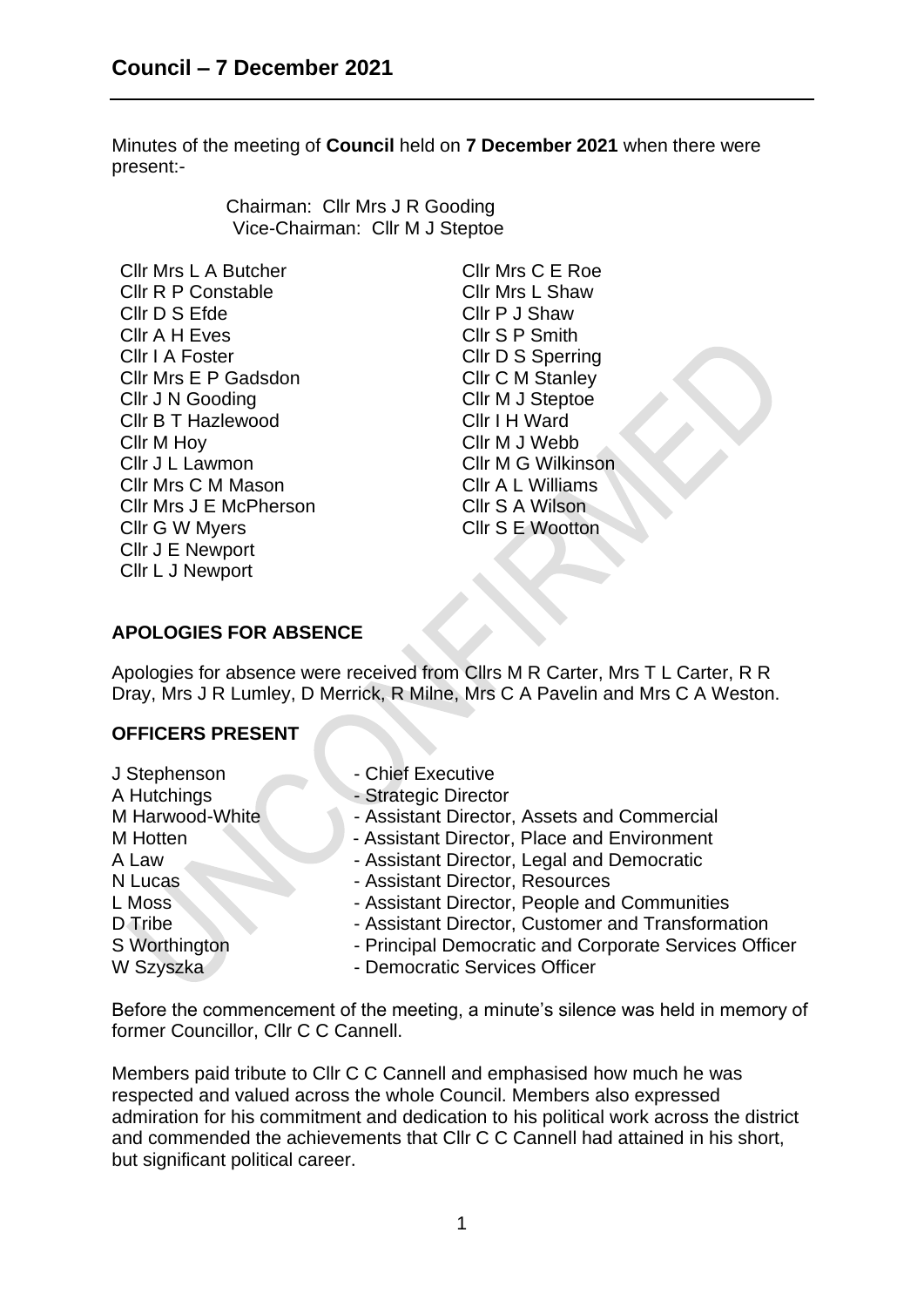Minutes of the meeting of **Council** held on **7 December 2021** when there were present:-

> Chairman: Cllr Mrs J R Gooding Vice-Chairman: Cllr M J Steptoe

Cllr Mrs L A Butcher Cllr Mrs C E Roe Cllr R P Constable Cllr Mrs L Shaw Cllr D S Efde Cllr P J Shaw Cllr A H Eves Cllr S P Smith Cllr I A Foster Cllr D S Sperring Cllr Mrs E P Gadsdon Cllr C M Stanley Cllr J N Gooding Cllr M J Steptoe Cllr B T Hazlewood Cllr I H Ward Cllr M Hoy Cllr M J Webb Cllr J L Lawmon Cllr M G Wilkinson Cllr Mrs C M Mason Cllr Mrs J E McPherson Cllr G W Myers Cllr J E Newport Cllr L J Newport

Cllr A L Williams Cllr S A Wilson Cllr S E Wootton

# **APOLOGIES FOR ABSENCE**

Apologies for absence were received from Cllrs M R Carter, Mrs T L Carter, R R Dray, Mrs J R Lumley, D Merrick, R Milne, Mrs C A Pavelin and Mrs C A Weston.

### **OFFICERS PRESENT**

J Stephenson - Chief Executive A Hutchings - Strategic Director M Harwood-White **And Assistant Director, Assets and Commercial** M Hotten **Manual Accord Accord - Assistant Director, Place and Environment** A Law - Assistant Director, Legal and Democratic N Lucas - Assistant Director, Resources L Moss **COMENT Assistant Director, People and Communities** D Tribe - Assistant Director, Customer and Transformation S Worthington **- Principal Democratic and Corporate Services Officer** W Szyszka - Democratic Services Officer

Before the commencement of the meeting, a minute's silence was held in memory of former Councillor, Cllr C C Cannell.

Members paid tribute to Cllr C C Cannell and emphasised how much he was respected and valued across the whole Council. Members also expressed admiration for his commitment and dedication to his political work across the district and commended the achievements that Cllr C C Cannell had attained in his short, but significant political career.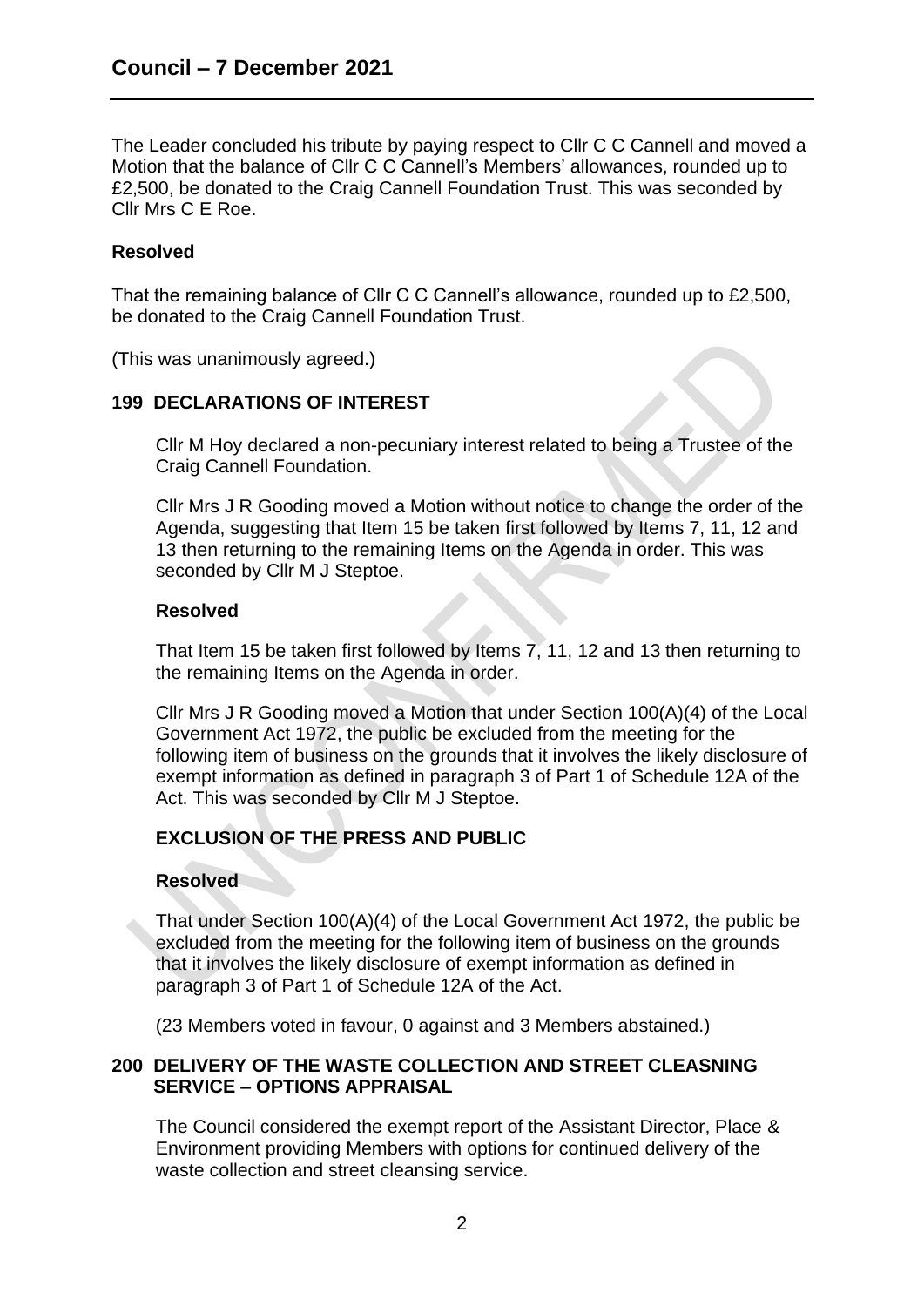The Leader concluded his tribute by paying respect to Cllr C C Cannell and moved a Motion that the balance of Cllr C C Cannell's Members' allowances, rounded up to £2,500, be donated to the Craig Cannell Foundation Trust. This was seconded by Cllr Mrs C E Roe.

## **Resolved**

That the remaining balance of Cllr C C Cannell's allowance, rounded up to £2,500, be donated to the Craig Cannell Foundation Trust.

(This was unanimously agreed.)

## **199 DECLARATIONS OF INTEREST**

Cllr M Hoy declared a non-pecuniary interest related to being a Trustee of the Craig Cannell Foundation.

Cllr Mrs J R Gooding moved a Motion without notice to change the order of the Agenda, suggesting that Item 15 be taken first followed by Items 7, 11, 12 and 13 then returning to the remaining Items on the Agenda in order. This was seconded by Cllr M J Steptoe.

### **Resolved**

That Item 15 be taken first followed by Items 7, 11, 12 and 13 then returning to the remaining Items on the Agenda in order.

Cllr Mrs J R Gooding moved a Motion that under Section 100(A)(4) of the Local Government Act 1972, the public be excluded from the meeting for the following item of business on the grounds that it involves the likely disclosure of exempt information as defined in paragraph 3 of Part 1 of Schedule 12A of the Act. This was seconded by Cllr M J Steptoe.

# **EXCLUSION OF THE PRESS AND PUBLIC**

### **Resolved**

That under Section 100(A)(4) of the Local Government Act 1972, the public be excluded from the meeting for the following item of business on the grounds that it involves the likely disclosure of exempt information as defined in paragraph 3 of Part 1 of Schedule 12A of the Act.

(23 Members voted in favour, 0 against and 3 Members abstained.)

## **200 DELIVERY OF THE WASTE COLLECTION AND STREET CLEASNING SERVICE – OPTIONS APPRAISAL**

The Council considered the exempt report of the Assistant Director, Place & Environment providing Members with options for continued delivery of the waste collection and street cleansing service.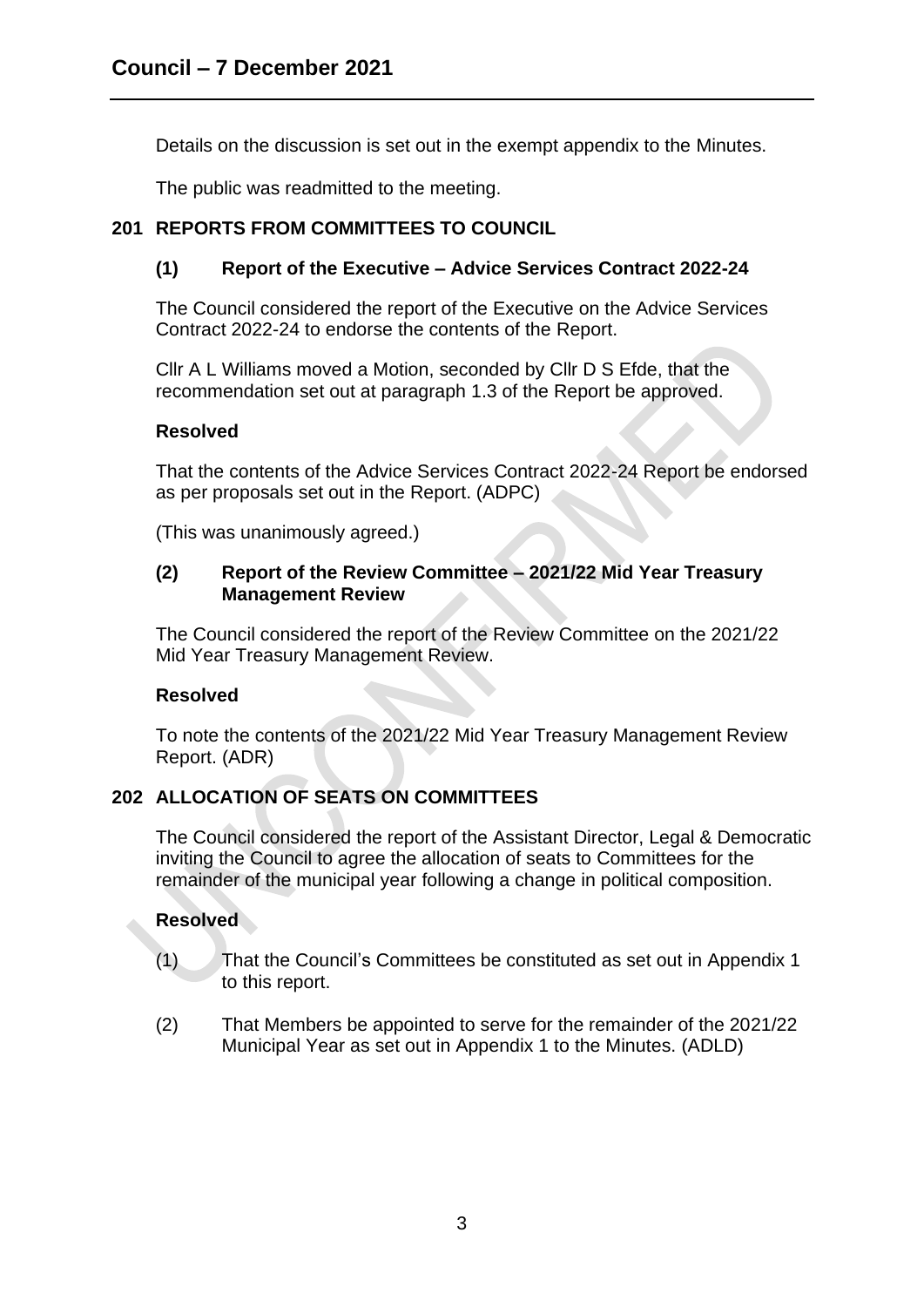Details on the discussion is set out in the exempt appendix to the Minutes.

The public was readmitted to the meeting.

# **201 REPORTS FROM COMMITTEES TO COUNCIL**

# **(1) Report of the Executive – Advice Services Contract 2022-24**

The Council considered the report of the Executive on the Advice Services Contract 2022-24 to endorse the contents of the Report.

Cllr A L Williams moved a Motion, seconded by Cllr D S Efde, that the recommendation set out at paragraph 1.3 of the Report be approved.

## **Resolved**

That the contents of the Advice Services Contract 2022-24 Report be endorsed as per proposals set out in the Report. (ADPC)

(This was unanimously agreed.)

### **(2) Report of the Review Committee – 2021/22 Mid Year Treasury Management Review**

The Council considered the report of the Review Committee on the 2021/22 Mid Year Treasury Management Review.

# **Resolved**

To note the contents of the 2021/22 Mid Year Treasury Management Review Report. (ADR)

# **202 ALLOCATION OF SEATS ON COMMITTEES**

The Council considered the report of the Assistant Director, Legal & Democratic inviting the Council to agree the allocation of seats to Committees for the remainder of the municipal year following a change in political composition.

# **Resolved**

- (1) That the Council's Committees be constituted as set out in Appendix 1 to this report.
- (2) That Members be appointed to serve for the remainder of the 2021/22 Municipal Year as set out in Appendix 1 to the Minutes. (ADLD)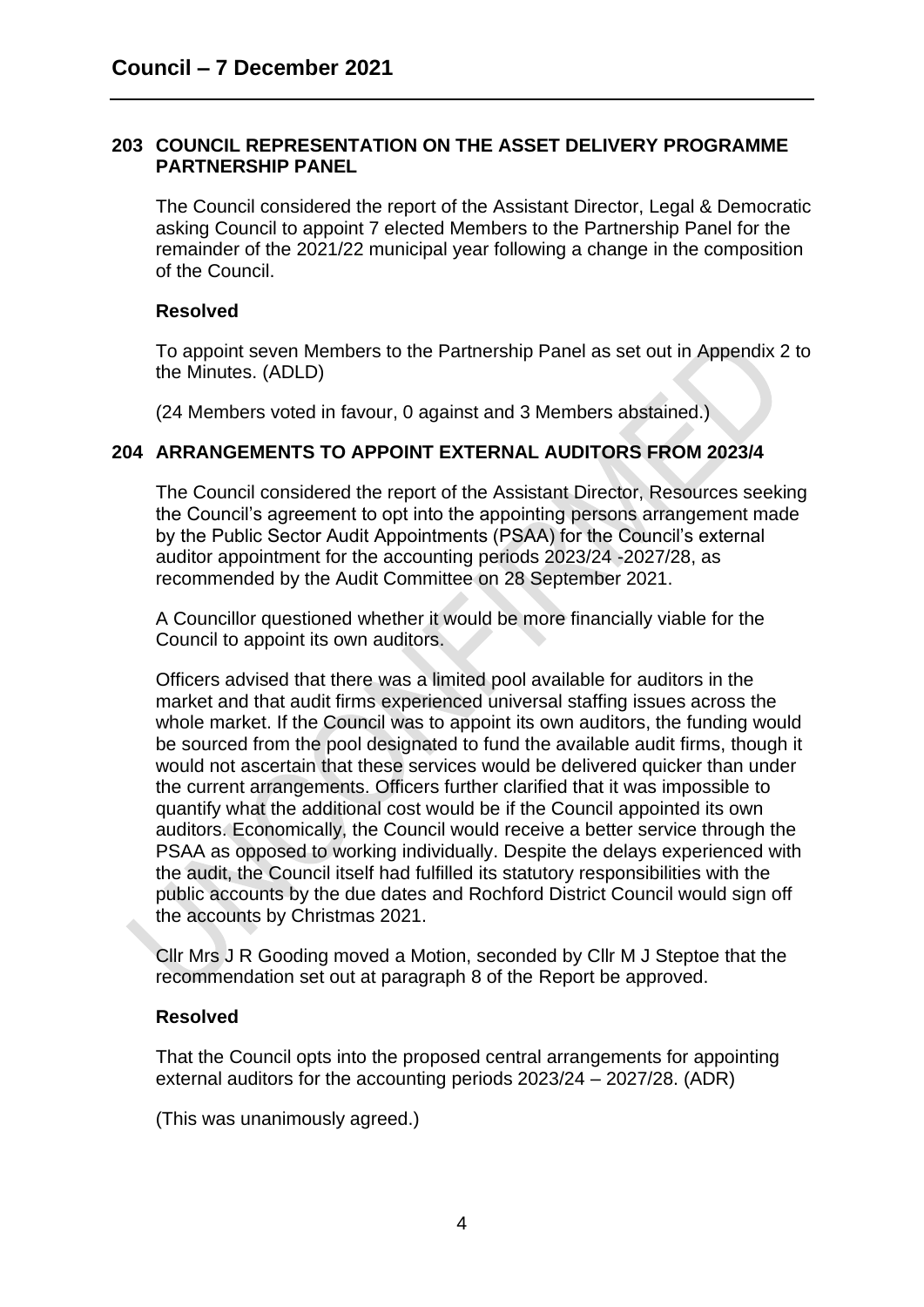### **203 COUNCIL REPRESENTATION ON THE ASSET DELIVERY PROGRAMME PARTNERSHIP PANEL**

The Council considered the report of the Assistant Director, Legal & Democratic asking Council to appoint 7 elected Members to the Partnership Panel for the remainder of the 2021/22 municipal year following a change in the composition of the Council.

### **Resolved**

To appoint seven Members to the Partnership Panel as set out in Appendix 2 to the Minutes. (ADLD)

(24 Members voted in favour, 0 against and 3 Members abstained.)

## **204 ARRANGEMENTS TO APPOINT EXTERNAL AUDITORS FROM 2023/4**

The Council considered the report of the Assistant Director, Resources seeking the Council's agreement to opt into the appointing persons arrangement made by the Public Sector Audit Appointments (PSAA) for the Council's external auditor appointment for the accounting periods 2023/24 -2027/28, as recommended by the Audit Committee on 28 September 2021.

A Councillor questioned whether it would be more financially viable for the Council to appoint its own auditors.

Officers advised that there was a limited pool available for auditors in the market and that audit firms experienced universal staffing issues across the whole market. If the Council was to appoint its own auditors, the funding would be sourced from the pool designated to fund the available audit firms, though it would not ascertain that these services would be delivered quicker than under the current arrangements. Officers further clarified that it was impossible to quantify what the additional cost would be if the Council appointed its own auditors. Economically, the Council would receive a better service through the PSAA as opposed to working individually. Despite the delays experienced with the audit, the Council itself had fulfilled its statutory responsibilities with the public accounts by the due dates and Rochford District Council would sign off the accounts by Christmas 2021.

Cllr Mrs J R Gooding moved a Motion, seconded by Cllr M J Steptoe that the recommendation set out at paragraph 8 of the Report be approved.

### **Resolved**

That the Council opts into the proposed central arrangements for appointing external auditors for the accounting periods 2023/24 – 2027/28. (ADR)

(This was unanimously agreed.)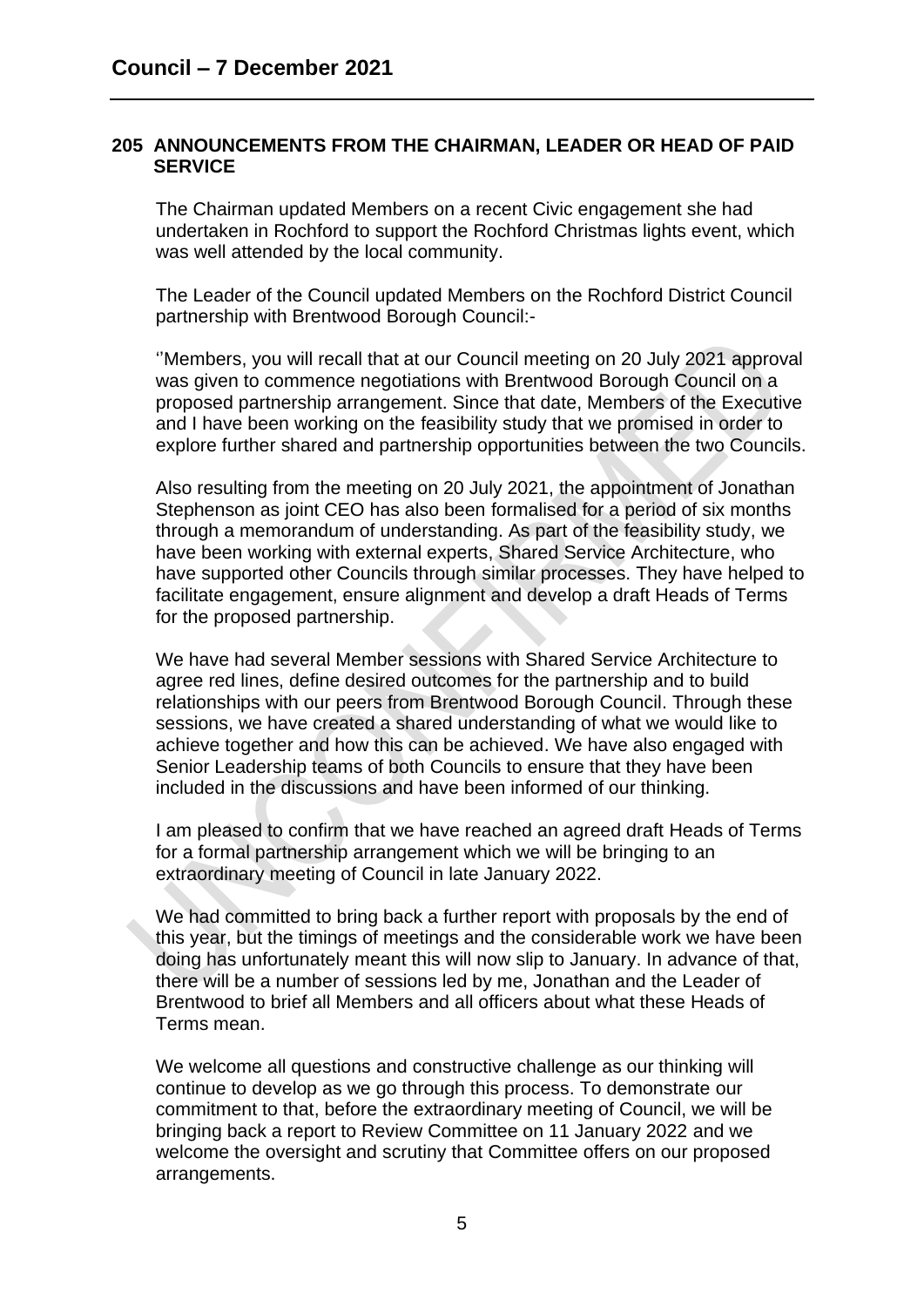#### **205 ANNOUNCEMENTS FROM THE CHAIRMAN, LEADER OR HEAD OF PAID SERVICE**

The Chairman updated Members on a recent Civic engagement she had undertaken in Rochford to support the Rochford Christmas lights event, which was well attended by the local community.

The Leader of the Council updated Members on the Rochford District Council partnership with Brentwood Borough Council:-

''Members, you will recall that at our Council meeting on 20 July 2021 approval was given to commence negotiations with Brentwood Borough Council on a proposed partnership arrangement. Since that date, Members of the Executive and I have been working on the feasibility study that we promised in order to explore further shared and partnership opportunities between the two Councils.

Also resulting from the meeting on 20 July 2021, the appointment of Jonathan Stephenson as joint CEO has also been formalised for a period of six months through a memorandum of understanding. As part of the feasibility study, we have been working with external experts, Shared Service Architecture, who have supported other Councils through similar processes. They have helped to facilitate engagement, ensure alignment and develop a draft Heads of Terms for the proposed partnership.

We have had several Member sessions with Shared Service Architecture to agree red lines, define desired outcomes for the partnership and to build relationships with our peers from Brentwood Borough Council. Through these sessions, we have created a shared understanding of what we would like to achieve together and how this can be achieved. We have also engaged with Senior Leadership teams of both Councils to ensure that they have been included in the discussions and have been informed of our thinking.

I am pleased to confirm that we have reached an agreed draft Heads of Terms for a formal partnership arrangement which we will be bringing to an extraordinary meeting of Council in late January 2022.

We had committed to bring back a further report with proposals by the end of this year, but the timings of meetings and the considerable work we have been doing has unfortunately meant this will now slip to January. In advance of that, there will be a number of sessions led by me, Jonathan and the Leader of Brentwood to brief all Members and all officers about what these Heads of Terms mean.

We welcome all questions and constructive challenge as our thinking will continue to develop as we go through this process. To demonstrate our commitment to that, before the extraordinary meeting of Council, we will be bringing back a report to Review Committee on 11 January 2022 and we welcome the oversight and scrutiny that Committee offers on our proposed arrangements.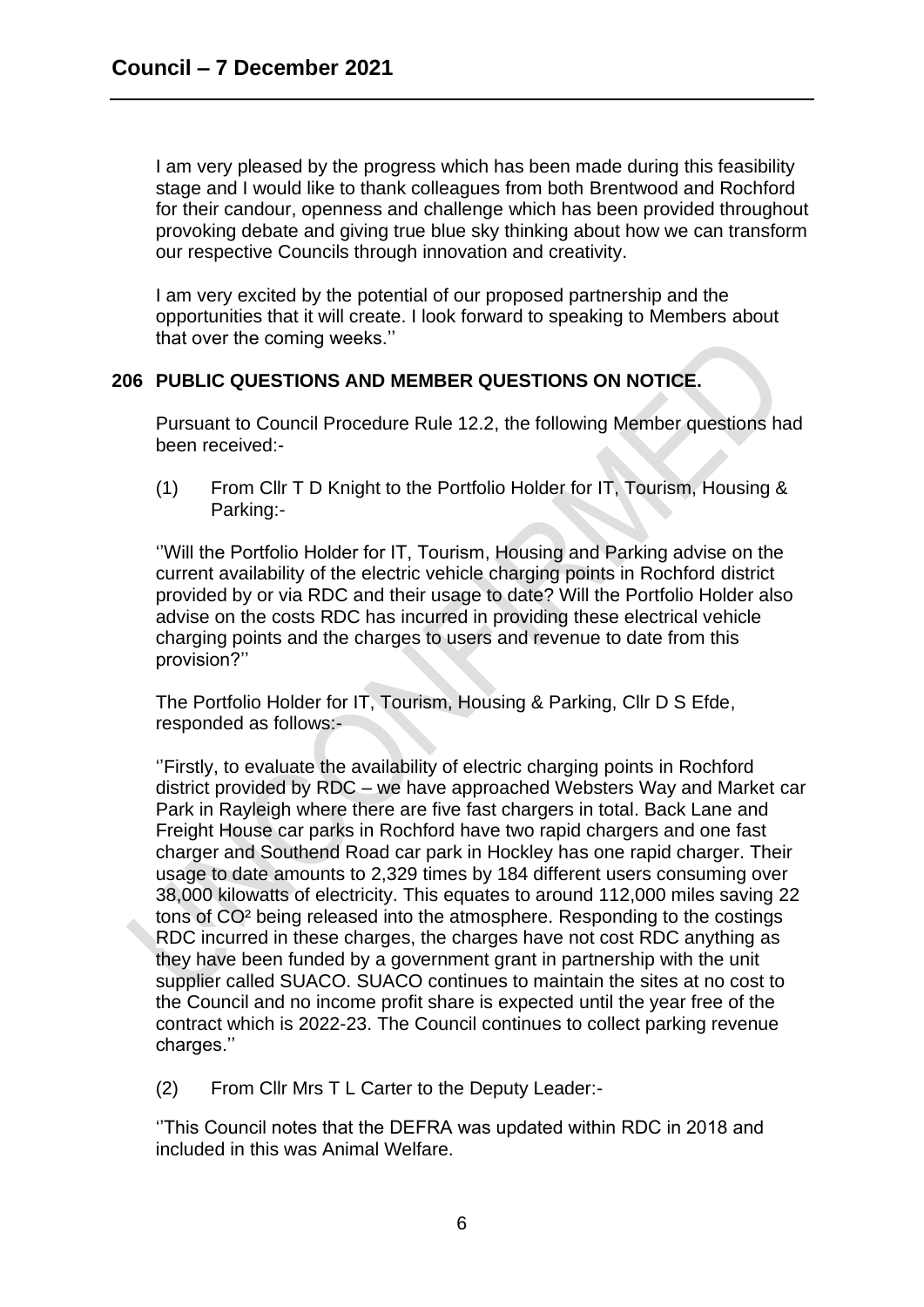I am very pleased by the progress which has been made during this feasibility stage and I would like to thank colleagues from both Brentwood and Rochford for their candour, openness and challenge which has been provided throughout provoking debate and giving true blue sky thinking about how we can transform our respective Councils through innovation and creativity.

I am very excited by the potential of our proposed partnership and the opportunities that it will create. I look forward to speaking to Members about that over the coming weeks.''

## **206 PUBLIC QUESTIONS AND MEMBER QUESTIONS ON NOTICE.**

Pursuant to Council Procedure Rule 12.2, the following Member questions had been received:-

(1) From Cllr T D Knight to the Portfolio Holder for IT, Tourism, Housing & Parking:-

''Will the Portfolio Holder for IT, Tourism, Housing and Parking advise on the current availability of the electric vehicle charging points in Rochford district provided by or via RDC and their usage to date? Will the Portfolio Holder also advise on the costs RDC has incurred in providing these electrical vehicle charging points and the charges to users and revenue to date from this provision?''

The Portfolio Holder for IT, Tourism, Housing & Parking, Cllr D S Efde, responded as follows:-

''Firstly, to evaluate the availability of electric charging points in Rochford district provided by RDC – we have approached Websters Way and Market car Park in Rayleigh where there are five fast chargers in total. Back Lane and Freight House car parks in Rochford have two rapid chargers and one fast charger and Southend Road car park in Hockley has one rapid charger. Their usage to date amounts to 2,329 times by 184 different users consuming over 38,000 kilowatts of electricity. This equates to around 112,000 miles saving 22 tons of CO² being released into the atmosphere. Responding to the costings RDC incurred in these charges, the charges have not cost RDC anything as they have been funded by a government grant in partnership with the unit supplier called SUACO. SUACO continues to maintain the sites at no cost to the Council and no income profit share is expected until the year free of the contract which is 2022-23. The Council continues to collect parking revenue charges.''

(2) From Cllr Mrs T L Carter to the Deputy Leader:-

''This Council notes that the DEFRA was updated within RDC in 2018 and included in this was Animal Welfare.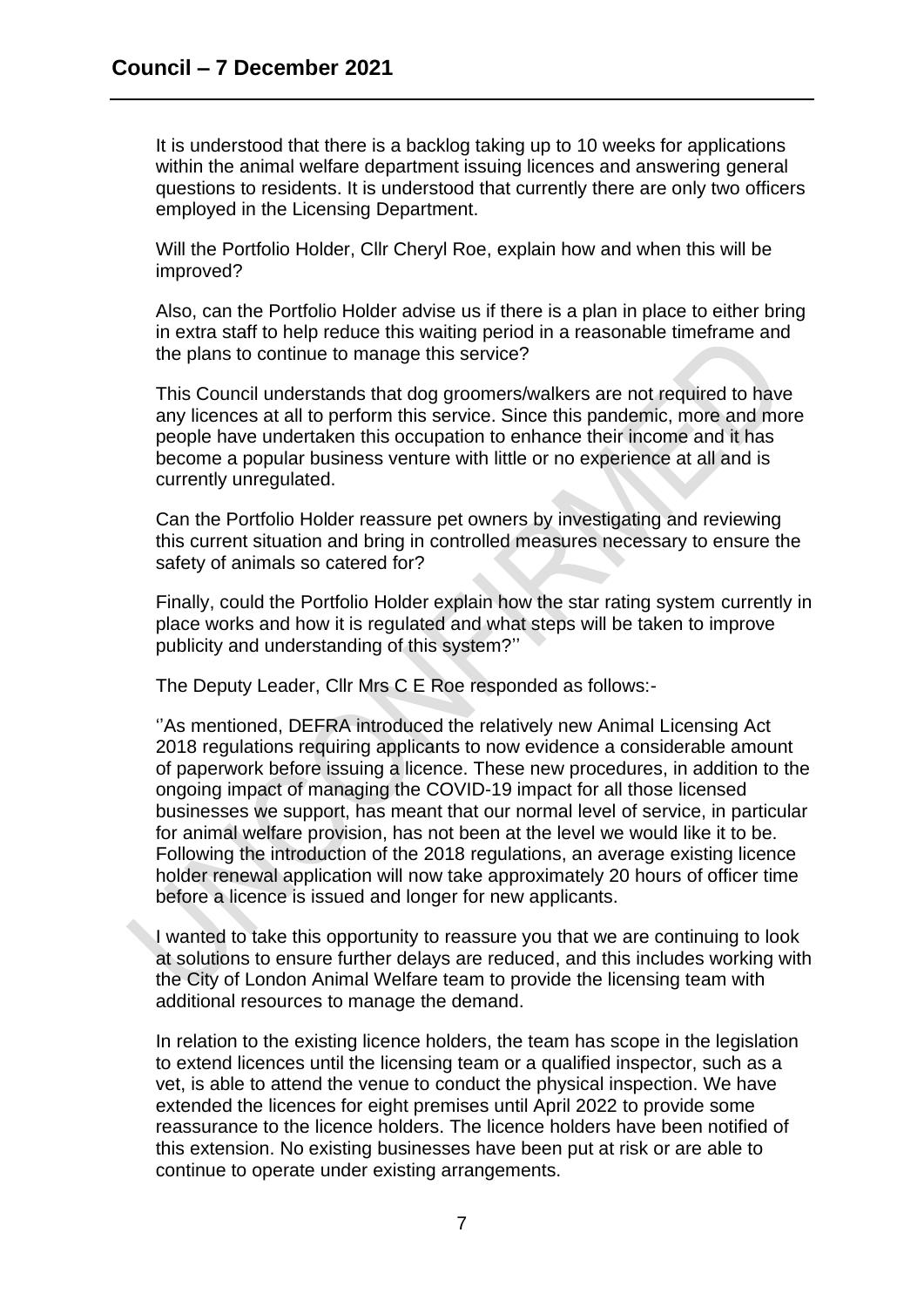It is understood that there is a backlog taking up to 10 weeks for applications within the animal welfare department issuing licences and answering general questions to residents. It is understood that currently there are only two officers employed in the Licensing Department.

Will the Portfolio Holder, Cllr Cheryl Roe, explain how and when this will be improved?

Also, can the Portfolio Holder advise us if there is a plan in place to either bring in extra staff to help reduce this waiting period in a reasonable timeframe and the plans to continue to manage this service?

This Council understands that dog groomers/walkers are not required to have any licences at all to perform this service. Since this pandemic, more and more people have undertaken this occupation to enhance their income and it has become a popular business venture with little or no experience at all and is currently unregulated.

Can the Portfolio Holder reassure pet owners by investigating and reviewing this current situation and bring in controlled measures necessary to ensure the safety of animals so catered for?

Finally, could the Portfolio Holder explain how the star rating system currently in place works and how it is regulated and what steps will be taken to improve publicity and understanding of this system?''

The Deputy Leader, Cllr Mrs C E Roe responded as follows:-

''As mentioned, DEFRA introduced the relatively new Animal Licensing Act 2018 regulations requiring applicants to now evidence a considerable amount of paperwork before issuing a licence. These new procedures, in addition to the ongoing impact of managing the COVID-19 impact for all those licensed businesses we support, has meant that our normal level of service, in particular for animal welfare provision, has not been at the level we would like it to be. Following the introduction of the 2018 regulations, an average existing licence holder renewal application will now take approximately 20 hours of officer time before a licence is issued and longer for new applicants.

I wanted to take this opportunity to reassure you that we are continuing to look at solutions to ensure further delays are reduced, and this includes working with the City of London Animal Welfare team to provide the licensing team with additional resources to manage the demand.

In relation to the existing licence holders, the team has scope in the legislation to extend licences until the licensing team or a qualified inspector, such as a vet, is able to attend the venue to conduct the physical inspection. We have extended the licences for eight premises until April 2022 to provide some reassurance to the licence holders. The licence holders have been notified of this extension. No existing businesses have been put at risk or are able to continue to operate under existing arrangements.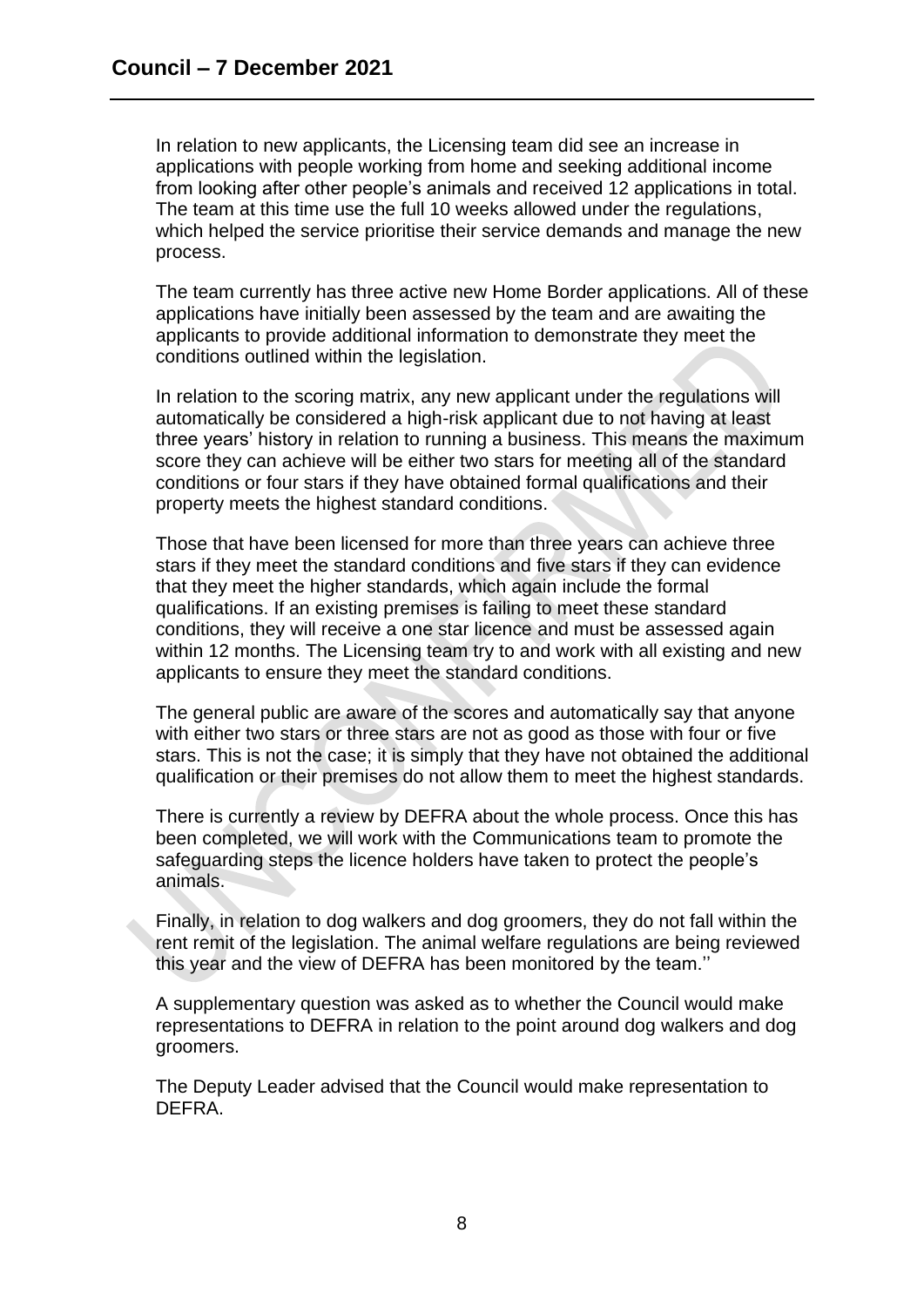In relation to new applicants, the Licensing team did see an increase in applications with people working from home and seeking additional income from looking after other people's animals and received 12 applications in total. The team at this time use the full 10 weeks allowed under the regulations, which helped the service prioritise their service demands and manage the new process.

The team currently has three active new Home Border applications. All of these applications have initially been assessed by the team and are awaiting the applicants to provide additional information to demonstrate they meet the conditions outlined within the legislation.

In relation to the scoring matrix, any new applicant under the regulations will automatically be considered a high-risk applicant due to not having at least three years' history in relation to running a business. This means the maximum score they can achieve will be either two stars for meeting all of the standard conditions or four stars if they have obtained formal qualifications and their property meets the highest standard conditions.

Those that have been licensed for more than three years can achieve three stars if they meet the standard conditions and five stars if they can evidence that they meet the higher standards, which again include the formal qualifications. If an existing premises is failing to meet these standard conditions, they will receive a one star licence and must be assessed again within 12 months. The Licensing team try to and work with all existing and new applicants to ensure they meet the standard conditions.

The general public are aware of the scores and automatically say that anyone with either two stars or three stars are not as good as those with four or five stars. This is not the case; it is simply that they have not obtained the additional qualification or their premises do not allow them to meet the highest standards.

There is currently a review by DEFRA about the whole process. Once this has been completed, we will work with the Communications team to promote the safeguarding steps the licence holders have taken to protect the people's animals.

Finally, in relation to dog walkers and dog groomers, they do not fall within the rent remit of the legislation. The animal welfare regulations are being reviewed this year and the view of DEFRA has been monitored by the team.''

A supplementary question was asked as to whether the Council would make representations to DEFRA in relation to the point around dog walkers and dog groomers.

The Deputy Leader advised that the Council would make representation to DEFRA.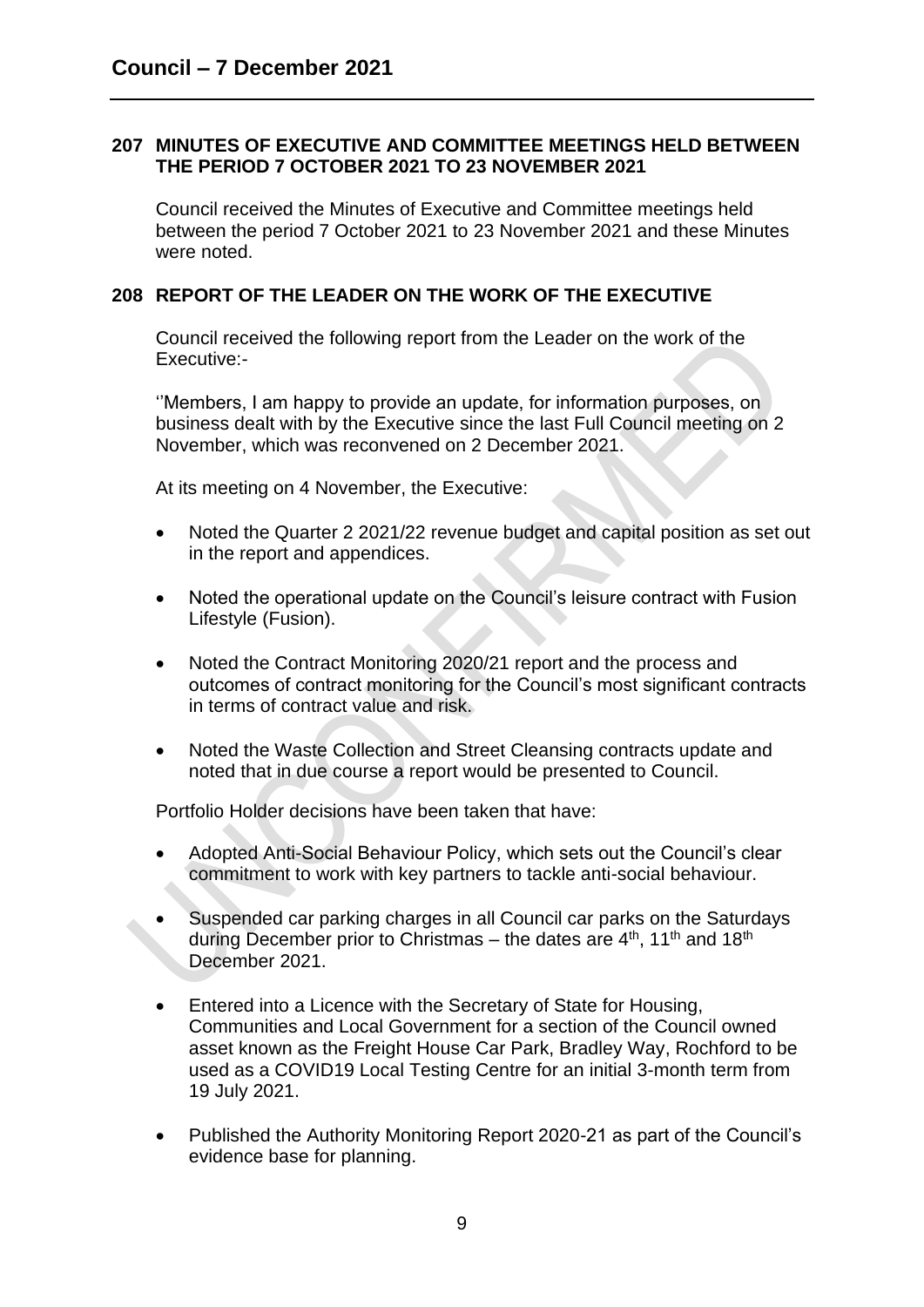### **207 MINUTES OF EXECUTIVE AND COMMITTEE MEETINGS HELD BETWEEN THE PERIOD 7 OCTOBER 2021 TO 23 NOVEMBER 2021**

Council received the Minutes of Executive and Committee meetings held between the period 7 October 2021 to 23 November 2021 and these Minutes were noted.

### **208 REPORT OF THE LEADER ON THE WORK OF THE EXECUTIVE**

Council received the following report from the Leader on the work of the Executive:-

''Members, I am happy to provide an update, for information purposes, on business dealt with by the Executive since the last Full Council meeting on 2 November, which was reconvened on 2 December 2021.

At its meeting on 4 November, the Executive:

- Noted the Quarter 2 2021/22 revenue budget and capital position as set out in the report and appendices.
- Noted the operational update on the Council's leisure contract with Fusion Lifestyle (Fusion).
- Noted the Contract Monitoring 2020/21 report and the process and outcomes of contract monitoring for the Council's most significant contracts in terms of contract value and risk.
- Noted the Waste Collection and Street Cleansing contracts update and noted that in due course a report would be presented to Council.

Portfolio Holder decisions have been taken that have:

- Adopted Anti-Social Behaviour Policy, which sets out the Council's clear commitment to work with key partners to tackle anti-social behaviour.
- Suspended car parking charges in all Council car parks on the Saturdays during December prior to Christmas – the dates are  $4<sup>th</sup>$ , 11<sup>th</sup> and 18<sup>th</sup> December 2021.
- Entered into a Licence with the Secretary of State for Housing, Communities and Local Government for a section of the Council owned asset known as the Freight House Car Park, Bradley Way, Rochford to be used as a COVID19 Local Testing Centre for an initial 3-month term from 19 July 2021.
- Published the Authority Monitoring Report 2020-21 as part of the Council's evidence base for planning.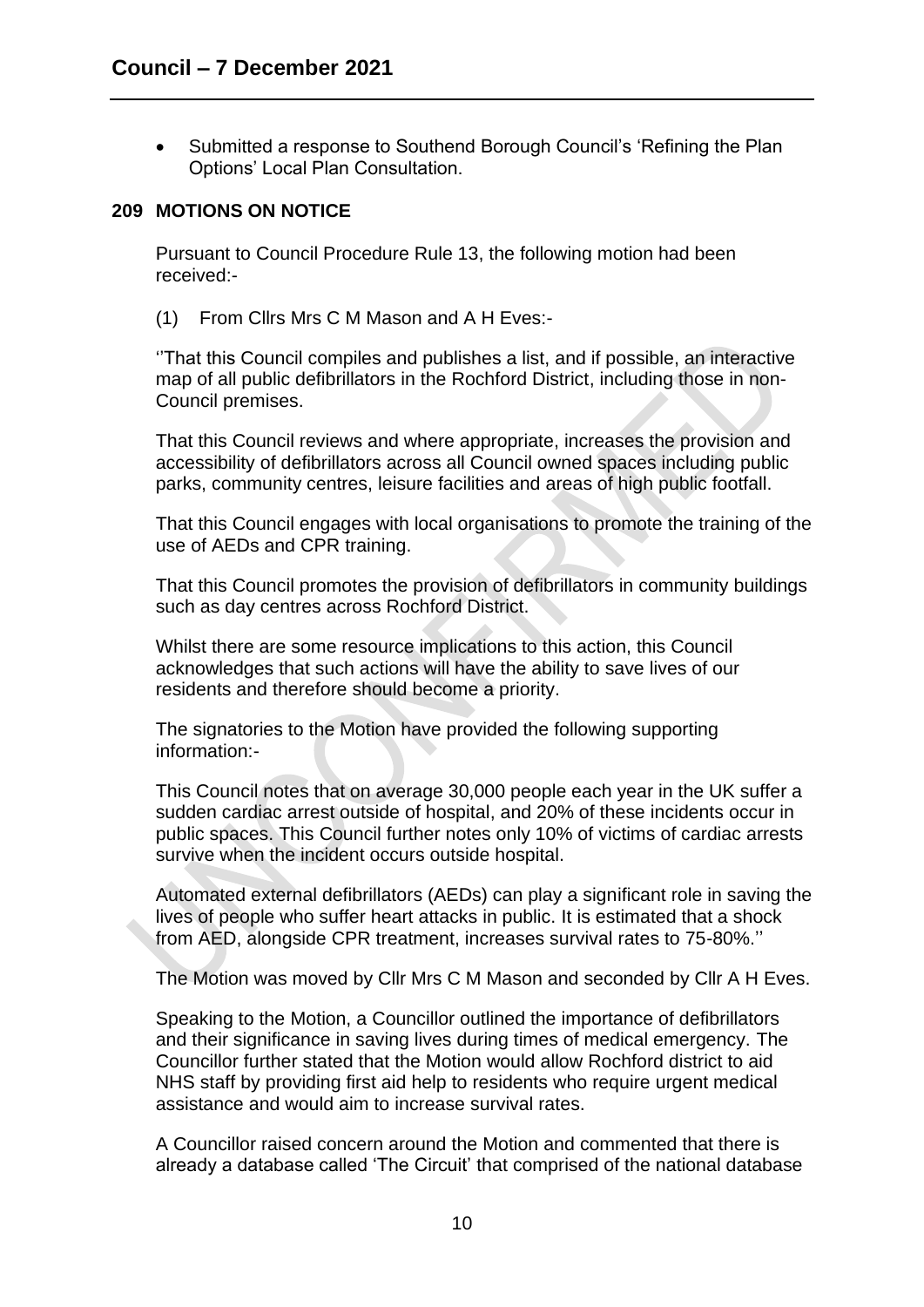• Submitted a response to Southend Borough Council's 'Refining the Plan Options' Local Plan Consultation.

### **209 MOTIONS ON NOTICE**

Pursuant to Council Procedure Rule 13, the following motion had been received:-

(1) From Cllrs Mrs C M Mason and A H Eves:-

''That this Council compiles and publishes a list, and if possible, an interactive map of all public defibrillators in the Rochford District, including those in non-Council premises.

That this Council reviews and where appropriate, increases the provision and accessibility of defibrillators across all Council owned spaces including public parks, community centres, leisure facilities and areas of high public footfall.

That this Council engages with local organisations to promote the training of the use of AEDs and CPR training.

That this Council promotes the provision of defibrillators in community buildings such as day centres across Rochford District.

Whilst there are some resource implications to this action, this Council acknowledges that such actions will have the ability to save lives of our residents and therefore should become a priority.

The signatories to the Motion have provided the following supporting information:-

This Council notes that on average 30,000 people each year in the UK suffer a sudden cardiac arrest outside of hospital, and 20% of these incidents occur in public spaces. This Council further notes only 10% of victims of cardiac arrests survive when the incident occurs outside hospital.

Automated external defibrillators (AEDs) can play a significant role in saving the lives of people who suffer heart attacks in public. It is estimated that a shock from AED, alongside CPR treatment, increases survival rates to 75-80%.''

The Motion was moved by Cllr Mrs C M Mason and seconded by Cllr A H Eves.

Speaking to the Motion, a Councillor outlined the importance of defibrillators and their significance in saving lives during times of medical emergency. The Councillor further stated that the Motion would allow Rochford district to aid NHS staff by providing first aid help to residents who require urgent medical assistance and would aim to increase survival rates.

A Councillor raised concern around the Motion and commented that there is already a database called 'The Circuit' that comprised of the national database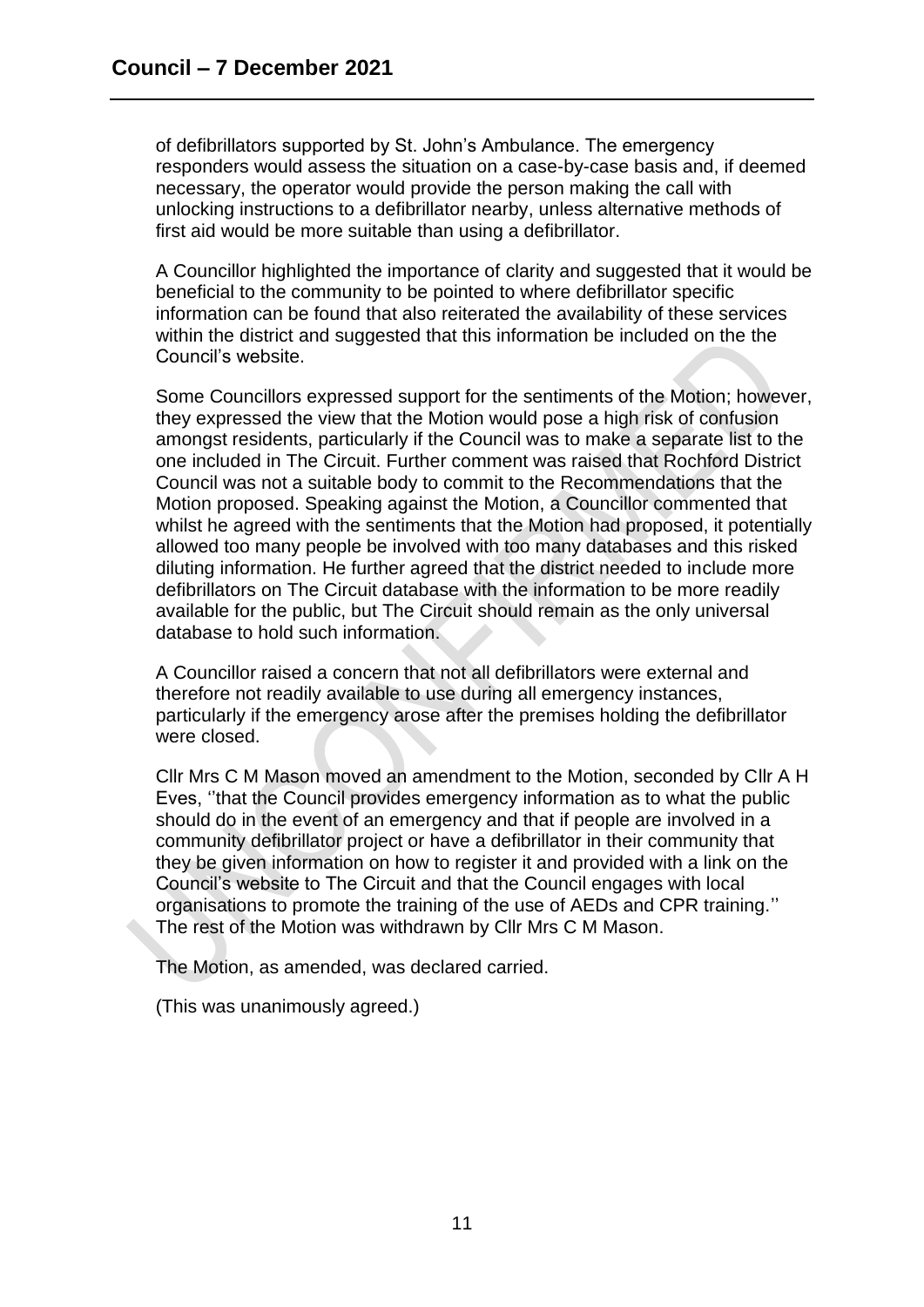of defibrillators supported by St. John's Ambulance. The emergency responders would assess the situation on a case-by-case basis and, if deemed necessary, the operator would provide the person making the call with unlocking instructions to a defibrillator nearby, unless alternative methods of first aid would be more suitable than using a defibrillator.

A Councillor highlighted the importance of clarity and suggested that it would be beneficial to the community to be pointed to where defibrillator specific information can be found that also reiterated the availability of these services within the district and suggested that this information be included on the the Council's website.

Some Councillors expressed support for the sentiments of the Motion; however, they expressed the view that the Motion would pose a high risk of confusion amongst residents, particularly if the Council was to make a separate list to the one included in The Circuit. Further comment was raised that Rochford District Council was not a suitable body to commit to the Recommendations that the Motion proposed. Speaking against the Motion, a Councillor commented that whilst he agreed with the sentiments that the Motion had proposed, it potentially allowed too many people be involved with too many databases and this risked diluting information. He further agreed that the district needed to include more defibrillators on The Circuit database with the information to be more readily available for the public, but The Circuit should remain as the only universal database to hold such information.

A Councillor raised a concern that not all defibrillators were external and therefore not readily available to use during all emergency instances, particularly if the emergency arose after the premises holding the defibrillator were closed.

Cllr Mrs C M Mason moved an amendment to the Motion, seconded by Cllr A H Eves, ''that the Council provides emergency information as to what the public should do in the event of an emergency and that if people are involved in a community defibrillator project or have a defibrillator in their community that they be given information on how to register it and provided with a link on the Council's website to The Circuit and that the Council engages with local organisations to promote the training of the use of AEDs and CPR training.'' The rest of the Motion was withdrawn by Cllr Mrs C M Mason.

The Motion, as amended, was declared carried.

(This was unanimously agreed.)